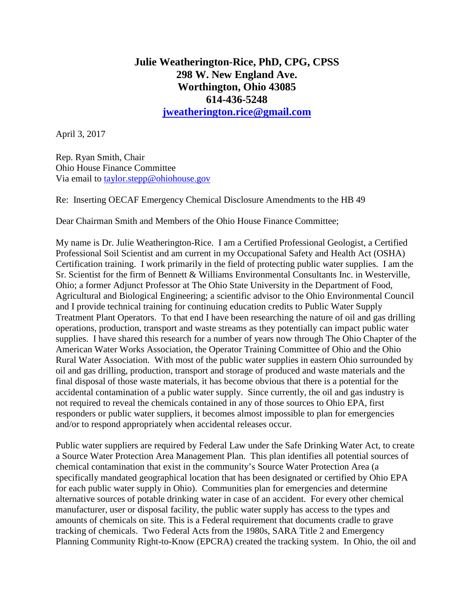## **Julie Weatherington-Rice, PhD, CPG, CPSS 298 W. New England Ave. Worthington, Ohio 43085 614-436-5248 [jweatherington.rice@gmail.com](mailto:jweatherington.rice@gmail.com)**

April 3, 2017

Rep. Ryan Smith, Chair Ohio House Finance Committee Via email to [taylor.stepp@ohiohouse.gov](mailto:taylor.stepp@ohiohouse.gov)

Re: Inserting OECAF Emergency Chemical Disclosure Amendments to the HB 49

Dear Chairman Smith and Members of the Ohio House Finance Committee;

My name is Dr. Julie Weatherington-Rice. I am a Certified Professional Geologist, a Certified Professional Soil Scientist and am current in my Occupational Safety and Health Act (OSHA) Certification training. I work primarily in the field of protecting public water supplies. I am the Sr. Scientist for the firm of Bennett & Williams Environmental Consultants Inc. in Westerville, Ohio; a former Adjunct Professor at The Ohio State University in the Department of Food, Agricultural and Biological Engineering; a scientific advisor to the Ohio Environmental Council and I provide technical training for continuing education credits to Public Water Supply Treatment Plant Operators. To that end I have been researching the nature of oil and gas drilling operations, production, transport and waste streams as they potentially can impact public water supplies. I have shared this research for a number of years now through The Ohio Chapter of the American Water Works Association, the Operator Training Committee of Ohio and the Ohio Rural Water Association. With most of the public water supplies in eastern Ohio surrounded by oil and gas drilling, production, transport and storage of produced and waste materials and the final disposal of those waste materials, it has become obvious that there is a potential for the accidental contamination of a public water supply. Since currently, the oil and gas industry is not required to reveal the chemicals contained in any of those sources to Ohio EPA, first responders or public water suppliers, it becomes almost impossible to plan for emergencies and/or to respond appropriately when accidental releases occur.

Public water suppliers are required by Federal Law under the Safe Drinking Water Act, to create a Source Water Protection Area Management Plan. This plan identifies all potential sources of chemical contamination that exist in the community's Source Water Protection Area (a specifically mandated geographical location that has been designated or certified by Ohio EPA for each public water supply in Ohio). Communities plan for emergencies and determine alternative sources of potable drinking water in case of an accident. For every other chemical manufacturer, user or disposal facility, the public water supply has access to the types and amounts of chemicals on site. This is a Federal requirement that documents cradle to grave tracking of chemicals. Two Federal Acts from the 1980s, SARA Title 2 and Emergency Planning Community Right-to-Know (EPCRA) created the tracking system. In Ohio, the oil and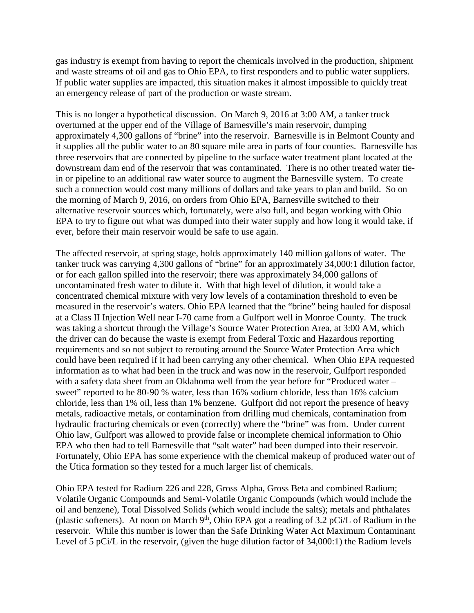gas industry is exempt from having to report the chemicals involved in the production, shipment and waste streams of oil and gas to Ohio EPA, to first responders and to public water suppliers. If public water supplies are impacted, this situation makes it almost impossible to quickly treat an emergency release of part of the production or waste stream.

This is no longer a hypothetical discussion. On March 9, 2016 at 3:00 AM, a tanker truck overturned at the upper end of the Village of Barnesville's main reservoir, dumping approximately 4,300 gallons of "brine" into the reservoir. Barnesville is in Belmont County and it supplies all the public water to an 80 square mile area in parts of four counties. Barnesville has three reservoirs that are connected by pipeline to the surface water treatment plant located at the downstream dam end of the reservoir that was contaminated. There is no other treated water tiein or pipeline to an additional raw water source to augment the Barnesville system. To create such a connection would cost many millions of dollars and take years to plan and build. So on the morning of March 9, 2016, on orders from Ohio EPA, Barnesville switched to their alternative reservoir sources which, fortunately, were also full, and began working with Ohio EPA to try to figure out what was dumped into their water supply and how long it would take, if ever, before their main reservoir would be safe to use again.

The affected reservoir, at spring stage, holds approximately 140 million gallons of water. The tanker truck was carrying 4,300 gallons of "brine" for an approximately 34,000:1 dilution factor, or for each gallon spilled into the reservoir; there was approximately 34,000 gallons of uncontaminated fresh water to dilute it. With that high level of dilution, it would take a concentrated chemical mixture with very low levels of a contamination threshold to even be measured in the reservoir's waters. Ohio EPA learned that the "brine" being hauled for disposal at a Class II Injection Well near I-70 came from a Gulfport well in Monroe County. The truck was taking a shortcut through the Village's Source Water Protection Area, at 3:00 AM, which the driver can do because the waste is exempt from Federal Toxic and Hazardous reporting requirements and so not subject to rerouting around the Source Water Protection Area which could have been required if it had been carrying any other chemical. When Ohio EPA requested information as to what had been in the truck and was now in the reservoir, Gulfport responded with a safety data sheet from an Oklahoma well from the year before for "Produced water – sweet" reported to be 80-90 % water, less than 16% sodium chloride, less than 16% calcium chloride, less than 1% oil, less than 1% benzene. Gulfport did not report the presence of heavy metals, radioactive metals, or contamination from drilling mud chemicals, contamination from hydraulic fracturing chemicals or even (correctly) where the "brine" was from. Under current Ohio law, Gulfport was allowed to provide false or incomplete chemical information to Ohio EPA who then had to tell Barnesville that "salt water" had been dumped into their reservoir. Fortunately, Ohio EPA has some experience with the chemical makeup of produced water out of the Utica formation so they tested for a much larger list of chemicals.

Ohio EPA tested for Radium 226 and 228, Gross Alpha, Gross Beta and combined Radium; Volatile Organic Compounds and Semi-Volatile Organic Compounds (which would include the oil and benzene), Total Dissolved Solids (which would include the salts); metals and phthalates (plastic softeners). At noon on March 9<sup>th</sup>, Ohio EPA got a reading of 3.2 pCi/L of Radium in the reservoir. While this number is lower than the Safe Drinking Water Act Maximum Contaminant Level of 5 pCi/L in the reservoir, (given the huge dilution factor of 34,000:1) the Radium levels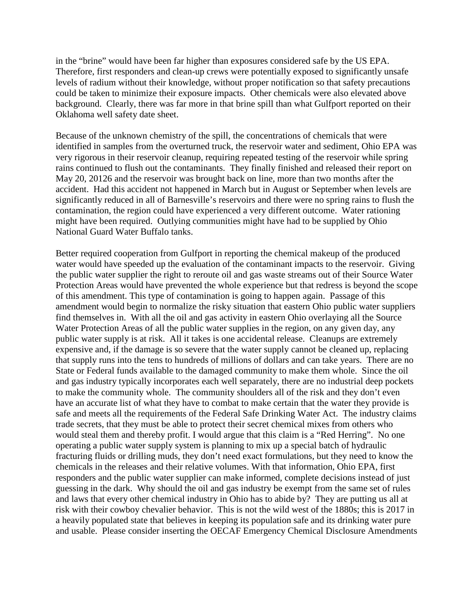in the "brine" would have been far higher than exposures considered safe by the US EPA. Therefore, first responders and clean-up crews were potentially exposed to significantly unsafe levels of radium without their knowledge, without proper notification so that safety precautions could be taken to minimize their exposure impacts. Other chemicals were also elevated above background. Clearly, there was far more in that brine spill than what Gulfport reported on their Oklahoma well safety date sheet.

Because of the unknown chemistry of the spill, the concentrations of chemicals that were identified in samples from the overturned truck, the reservoir water and sediment, Ohio EPA was very rigorous in their reservoir cleanup, requiring repeated testing of the reservoir while spring rains continued to flush out the contaminants. They finally finished and released their report on May 20, 20126 and the reservoir was brought back on line, more than two months after the accident. Had this accident not happened in March but in August or September when levels are significantly reduced in all of Barnesville's reservoirs and there were no spring rains to flush the contamination, the region could have experienced a very different outcome. Water rationing might have been required. Outlying communities might have had to be supplied by Ohio National Guard Water Buffalo tanks.

Better required cooperation from Gulfport in reporting the chemical makeup of the produced water would have speeded up the evaluation of the contaminant impacts to the reservoir. Giving the public water supplier the right to reroute oil and gas waste streams out of their Source Water Protection Areas would have prevented the whole experience but that redress is beyond the scope of this amendment. This type of contamination is going to happen again. Passage of this amendment would begin to normalize the risky situation that eastern Ohio public water suppliers find themselves in. With all the oil and gas activity in eastern Ohio overlaying all the Source Water Protection Areas of all the public water supplies in the region, on any given day, any public water supply is at risk. All it takes is one accidental release. Cleanups are extremely expensive and, if the damage is so severe that the water supply cannot be cleaned up, replacing that supply runs into the tens to hundreds of millions of dollars and can take years. There are no State or Federal funds available to the damaged community to make them whole. Since the oil and gas industry typically incorporates each well separately, there are no industrial deep pockets to make the community whole. The community shoulders all of the risk and they don't even have an accurate list of what they have to combat to make certain that the water they provide is safe and meets all the requirements of the Federal Safe Drinking Water Act. The industry claims trade secrets, that they must be able to protect their secret chemical mixes from others who would steal them and thereby profit. I would argue that this claim is a "Red Herring". No one operating a public water supply system is planning to mix up a special batch of hydraulic fracturing fluids or drilling muds, they don't need exact formulations, but they need to know the chemicals in the releases and their relative volumes. With that information, Ohio EPA, first responders and the public water supplier can make informed, complete decisions instead of just guessing in the dark. Why should the oil and gas industry be exempt from the same set of rules and laws that every other chemical industry in Ohio has to abide by? They are putting us all at risk with their cowboy chevalier behavior. This is not the wild west of the 1880s; this is 2017 in a heavily populated state that believes in keeping its population safe and its drinking water pure and usable. Please consider inserting the OECAF Emergency Chemical Disclosure Amendments